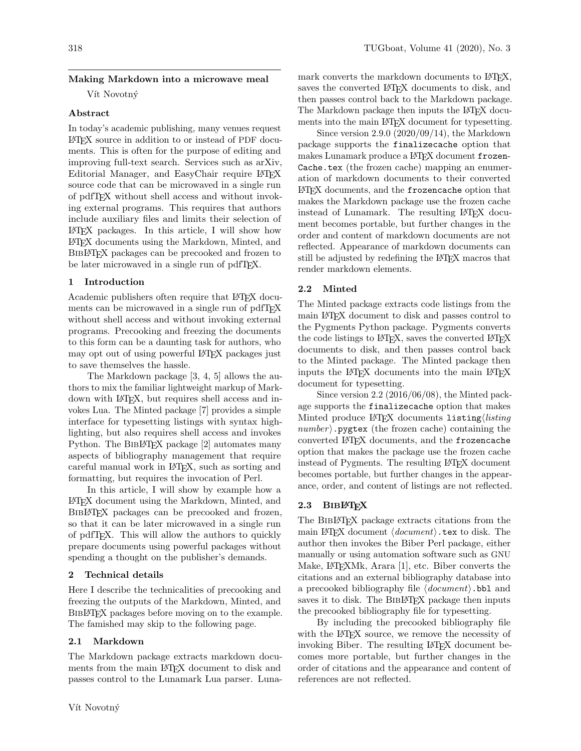# Making Markdown into a microwave meal

Vít Novotný

#### Abstract

In today's academic publishing, many venues request LATEX source in addition to or instead of PDF documents. This is often for the purpose of editing and improving full-text search. Services such as arXiv, Editorial Manager, and EasyChair require LATEX source code that can be microwaved in a single run of pdfTEX without shell access and without invoking external programs. This requires that authors include auxiliary files and limits their selection of LATEX packages. In this article, I will show how LATEX documents using the Markdown, Minted, and BibLATEX packages can be precooked and frozen to be later microwaved in a single run of pdfTFX.

### 1 Introduction

Academic publishers often require that L<sup>AT</sup>EX documents can be microwaved in a single run of pdfTEX without shell access and without invoking external programs. Precooking and freezing the documents to this form can be a daunting task for authors, who may opt out of using powerful LATEX packages just to save themselves the hassle.

The Markdown package [\[3,](#page-2-0) [4,](#page-2-1) [5\]](#page-2-2) allows the authors to mix the familiar lightweight markup of Markdown with LATEX, but requires shell access and invokes Lua. The Minted package [\[7\]](#page-2-3) provides a simple interface for typesetting listings with syntax highlighting, but also requires shell access and invokes Python. The BIBLATEX package [\[2\]](#page-2-4) automates many aspects of bibliography management that require careful manual work in LATEX, such as sorting and formatting, but requires the invocation of Perl.

In this article, I will show by example how a LATEX document using the Markdown, Minted, and BIBLATEX packages can be precooked and frozen, so that it can be later microwaved in a single run of pdfTEX. This will allow the authors to quickly prepare documents using powerful packages without spending a thought on the publisher's demands.

#### 2 Technical details

Here I describe the technicalities of precooking and freezing the outputs of the Markdown, Minted, and BIBLAT<sub>EX</sub> packages before moving on to the example. The famished may skip to the following page.

# 2.1 Markdown

The Markdown package extracts markdown documents from the main LAT<sub>EX</sub> document to disk and passes control to the Lunamark Lua parser. Luna-

mark converts the markdown documents to L<sup>AT</sup>FX, saves the converted L<sup>AT</sup>EX documents to disk, and then passes control back to the Markdown package. The Markdown package then inputs the L<sup>A</sup>T<sub>EX</sub> documents into the main LAT<sub>EX</sub> document for typesetting.

Since version 2.9.0 (2020/09/14), the Markdown package supports the finalizecache option that makes Lunamark produce a L<sup>AT</sup>EX document frozen-Cache.tex (the frozen cache) mapping an enumeration of markdown documents to their converted LATEX documents, and the frozencache option that makes the Markdown package use the frozen cache instead of Lunamark. The resulting LAT<sub>EX</sub> document becomes portable, but further changes in the order and content of markdown documents are not reflected. Appearance of markdown documents can still be adjusted by redefining the LATEX macros that render markdown elements.

# 2.2 Minted

The Minted package extracts code listings from the main LATEX document to disk and passes control to the Pygments Python package. Pygments converts the code listings to L<sup>AT</sup>EX, saves the converted L<sup>AT</sup>EX documents to disk, and then passes control back to the Minted package. The Minted package then inputs the LATEX documents into the main LATEX document for typesetting.

Since version 2.2 (2016/06/08), the Minted package supports the finalizecache option that makes Minted produce LAT<sub>EX</sub> documents listing *listing*  $number\rangle$ . pygtex (the frozen cache) containing the converted LAT<sub>F</sub>X documents, and the frozencache option that makes the package use the frozen cache instead of Pygments. The resulting LAT<sub>EX</sub> document becomes portable, but further changes in the appearance, order, and content of listings are not reflected.

# 2.3 BIBLATEX

The BibLATEX package extracts citations from the main LAT<sub>E</sub>X document  $\langle document \rangle$ .tex to disk. The author then invokes the Biber Perl package, either manually or using automation software such as GNU Make, LATEXMk, Arara [\[1\]](#page-2-5), etc. Biber converts the citations and an external bibliography database into a precooked bibliography file  $\langle document \rangle$ .bbl and saves it to disk. The BIBL<sup>AT</sup>FX package then inputs the precooked bibliography file for typesetting.

By including the precooked bibliography file with the L<sup>AT</sup>EX source, we remove the necessity of invoking Biber. The resulting LATEX document becomes more portable, but further changes in the order of citations and the appearance and content of references are not reflected.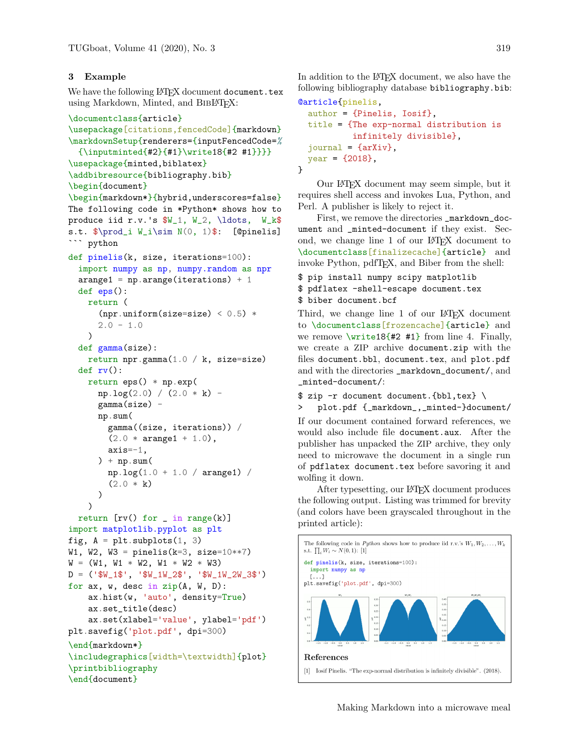### 3 Example

We have the following LAT<sub>EX</sub> document document.tex using Markdown, Minted, and BIBLATEX:

```
\documentclass{article}
\usepackage[citations,fencedCode]{markdown}
\markdownSetup{renderers={inputFencedCode=%
  {\inputminted{#2}{#1}\write18{#2 #1}}}}
\usepackage{minted,biblatex}
\addbibresource{bibliography.bib}
\begin{document}
\begin{markdown*}{hybrid,underscores=false}
The following code in *Python* shows how to
produce iid r.v.'s W_1, W_2, \ldots, W_k$
s.t. $\prod_i W_i\sim N(0, 1)$: [@pinelis]
``` python
def pinelis(k, size, iterations=100):
  import numpy as np, numpy.random as npr
  \texttt{arrange1} = \texttt{np}.\texttt{arrange}(\texttt{iterations}) + 1def eps():
    return (
      (npr.uniform(size=size) < 0.5) *2.0 - 1.0)
  def gamma(size):
    return npr.gamma(1.0 / k, size=size)
  def rv():
    return eps() * np.exp(
      np.log(2.0) / (2.0 * k) -
      gamma(size) -
      np.sum(
        gamma((size, iterations)) /
        (2.0 * \text{arange1} + 1.0),
        axis=-1,
      ) + np.sum(np.log(1.0 + 1.0 / arange1)(2.0 * k))
    )
  return [rv() for \iota in range(k)]import matplotlib.pyplot as plt
fig, A = plt.subplots(1, 3)W1, W2, W3 = pinelis(k=3, size=10**7)
W = (W1, W1 * W2, W1 * W2 * W3)D = ('$W_1$', '$W_1W_2$', '$W_1W_2W_3$')
for ax, w, desc in zip(A, W, D):
    ax.hist(w, 'auto', density=True)
    ax.set_title(desc)
    ax.set(xlabel='value', ylabel='pdf')
plt.savefig('plot.pdf', dpi=300)
\end{markdown*}
\includegraphics[width=\textwidth]{plot}
\printbibliography
\end{document}
```
In addition to the L<sup>AT</sup>FX document, we also have the following bibliography database bibliography.bib:

```
@article{pinelis,
  author = {Pinelis, Iosif},
  title = {The exp-normal distribution is
           infinitely divisible},
  journal = {arXiv},
  year = {2018},
}
```
Our LATEX document may seem simple, but it requires shell access and invokes Lua, Python, and Perl. A publisher is likely to reject it.

First, we remove the directories \_markdown\_document and \_minted-document if they exist. Second, we change line 1 of our LATEX document to \documentclass[finalizecache]{article} and invoke Python, pdfTEX, and Biber from the shell:

\$ pip install numpy scipy matplotlib \$ pdflatex -shell-escape document.tex \$ biber document.bcf

Third, we change line 1 of our LAT<sub>EX</sub> document to \documentclass[frozencache]{article} and we remove  $\sqrt{write18\{#2 \#1\}}$  from line 4. Finally, we create a ZIP archive document.zip with the files document.bbl, document.tex, and plot.pdf and with the directories \_markdown\_document/, and \_minted-document/:

\$ zip -r document document.{bbl,tex} \

> plot.pdf {\_markdown\_,\_minted-}document/

If our document contained forward references, we would also include file document.aux. After the publisher has unpacked the ZIP archive, they only need to microwave the document in a single run of pdflatex document.tex before savoring it and wolfing it down.

After typesetting, our LATEX document produces the following output. Listing was trimmed for brevity (and colors have been grayscaled throughout in the printed article):